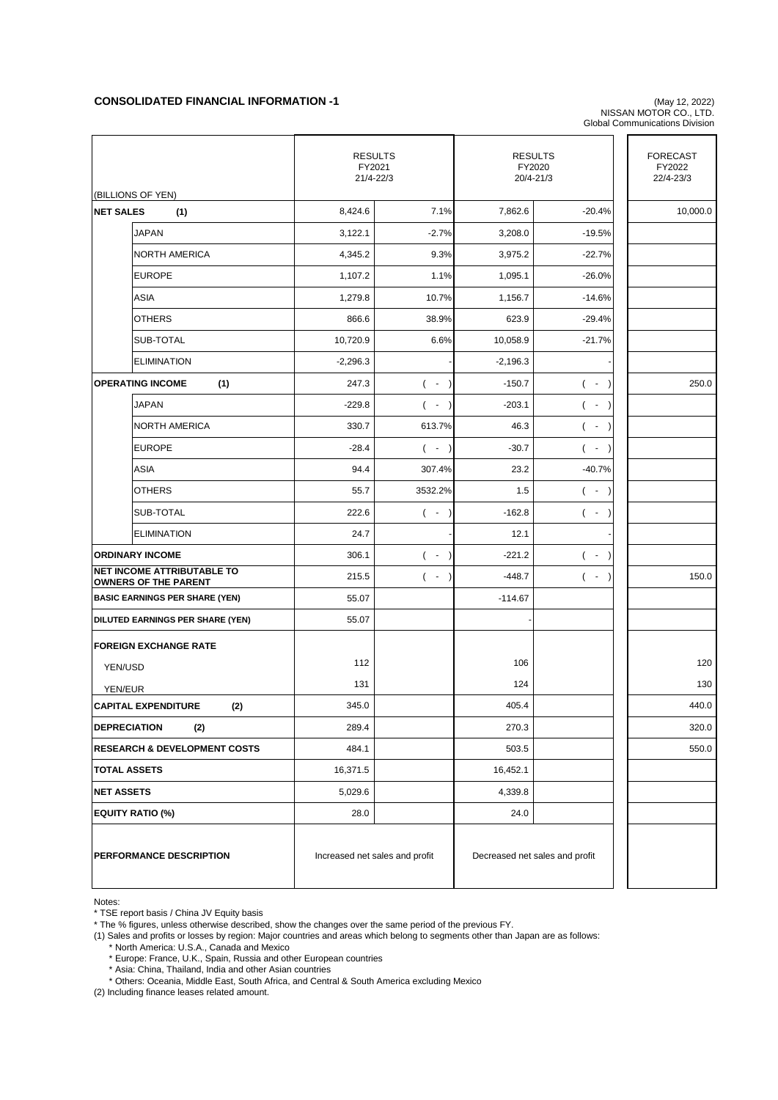## **CONSOLIDATED FINANCIAL INFORMATION -1** (May 12, 2022)

NISSAN MOTOR CO., LTD. Global Communications Division

|                                                                  | <b>RESULTS</b><br>FY2021<br>21/4-22/3 |                    | <b>RESULTS</b><br>FY2020<br>20/4-21/3 |                                  | <b>FORECAST</b><br>FY2022<br>22/4-23/3 |
|------------------------------------------------------------------|---------------------------------------|--------------------|---------------------------------------|----------------------------------|----------------------------------------|
| (BILLIONS OF YEN)<br><b>NET SALES</b><br>(1)                     | 8,424.6                               | 7.1%               | 7,862.6                               | $-20.4%$                         | 10,000.0                               |
| <b>JAPAN</b>                                                     | 3,122.1                               | $-2.7%$            | 3,208.0                               | $-19.5%$                         |                                        |
| <b>NORTH AMERICA</b>                                             | 4,345.2                               | 9.3%               | 3,975.2                               | $-22.7%$                         |                                        |
| <b>EUROPE</b>                                                    | 1,107.2                               | 1.1%               | 1,095.1                               | $-26.0%$                         |                                        |
| <b>ASIA</b>                                                      | 1,279.8                               | 10.7%              | 1,156.7                               | $-14.6%$                         |                                        |
| <b>OTHERS</b>                                                    | 866.6                                 | 38.9%              | 623.9                                 | $-29.4%$                         |                                        |
| SUB-TOTAL                                                        | 10,720.9                              | 6.6%               | 10,058.9                              | $-21.7%$                         |                                        |
|                                                                  |                                       |                    |                                       |                                  |                                        |
| <b>ELIMINATION</b>                                               | $-2,296.3$                            |                    | $-2,196.3$                            |                                  |                                        |
| <b>OPERATING INCOME</b><br>(1)                                   | 247.3                                 | $($ -<br>$\lambda$ | $-150.7$                              | $( - )$                          | 250.0                                  |
| <b>JAPAN</b>                                                     | $-229.8$                              | $($ -              | $-203.1$                              | $\blacksquare$<br>(<br>$\lambda$ |                                        |
| <b>NORTH AMERICA</b>                                             | 330.7                                 | 613.7%             | 46.3                                  | $\blacksquare$<br>$\overline{ }$ |                                        |
| <b>EUROPE</b>                                                    | $-28.4$                               | $(-)$              | $-30.7$                               | $( - )$                          |                                        |
| <b>ASIA</b>                                                      | 94.4                                  | 307.4%             | 23.2                                  | $-40.7%$                         |                                        |
| <b>OTHERS</b>                                                    | 55.7                                  | 3532.2%            | 1.5                                   | $( - )$                          |                                        |
| SUB-TOTAL                                                        | 222.6                                 | $($ -              | $-162.8$                              | $($ -                            |                                        |
| <b>ELIMINATION</b>                                               | 24.7                                  |                    | 12.1                                  |                                  |                                        |
| <b>ORDINARY INCOME</b>                                           | 306.1                                 | $($ -              | $-221.2$                              | $($ -                            |                                        |
| <b>NET INCOME ATTRIBUTABLE TO</b><br><b>OWNERS OF THE PARENT</b> | 215.5                                 | $($ -              | $-448.7$                              | $($ -<br>$\lambda$               | 150.0                                  |
| <b>BASIC EARNINGS PER SHARE (YEN)</b>                            | 55.07                                 |                    | $-114.67$                             |                                  |                                        |
| DILUTED EARNINGS PER SHARE (YEN)                                 | 55.07                                 |                    |                                       |                                  |                                        |
| <b>FOREIGN EXCHANGE RATE</b>                                     |                                       |                    |                                       |                                  |                                        |
| YEN/USD                                                          | 112                                   |                    | 106                                   |                                  | 120                                    |
| YEN/EUR                                                          | 131                                   |                    | 124                                   |                                  | 130                                    |
| <b>CAPITAL EXPENDITURE</b><br>(2)                                | 345.0                                 |                    | 405.4                                 |                                  | 440.0                                  |
| <b>DEPRECIATION</b><br>(2)                                       | 289.4                                 |                    | 270.3                                 |                                  | 320.0                                  |
| <b>RESEARCH &amp; DEVELOPMENT COSTS</b>                          | 484.1                                 |                    | 503.5                                 |                                  | 550.0                                  |
| <b>TOTAL ASSETS</b>                                              | 16,371.5                              |                    | 16,452.1                              |                                  |                                        |
| <b>NET ASSETS</b>                                                | 5,029.6                               |                    | 4,339.8                               |                                  |                                        |
| <b>EQUITY RATIO (%)</b>                                          | 28.0                                  |                    | 24.0                                  |                                  |                                        |
| PERFORMANCE DESCRIPTION                                          | Increased net sales and profit        |                    | Decreased net sales and profit        |                                  |                                        |

Notes:

\* TSE report basis / China JV Equity basis

\* The % figures, unless otherwise described, show the changes over the same period of the previous FY.

(1) Sales and profits or losses by region: Major countries and areas which belong to segments other than Japan are as follows:

\* North America: U.S.A., Canada and Mexico

\* Europe: France, U.K., Spain, Russia and other European countries

\* Asia: China, Thailand, India and other Asian countries

\* Others: Oceania, Middle East, South Africa, and Central & South America excluding Mexico

(2) Including finance leases related amount.